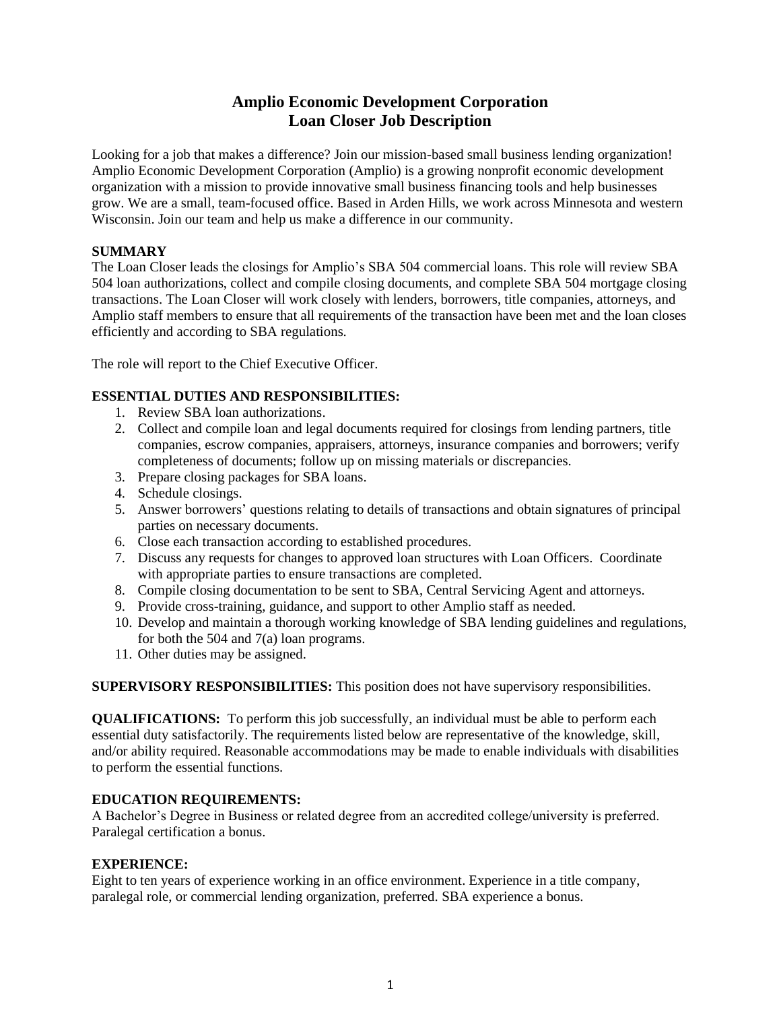# **Amplio Economic Development Corporation Loan Closer Job Description**

Looking for a job that makes a difference? Join our mission-based small business lending organization! Amplio Economic Development Corporation (Amplio) is a growing nonprofit economic development organization with a mission to provide innovative small business financing tools and help businesses grow. We are a small, team-focused office. Based in Arden Hills, we work across Minnesota and western Wisconsin. Join our team and help us make a difference in our community.

# **SUMMARY**

The Loan Closer leads the closings for Amplio's SBA 504 commercial loans. This role will review SBA 504 loan authorizations, collect and compile closing documents, and complete SBA 504 mortgage closing transactions. The Loan Closer will work closely with lenders, borrowers, title companies, attorneys, and Amplio staff members to ensure that all requirements of the transaction have been met and the loan closes efficiently and according to SBA regulations.

The role will report to the Chief Executive Officer.

# **ESSENTIAL DUTIES AND RESPONSIBILITIES:**

- 1. Review SBA loan authorizations.
- 2. Collect and compile loan and legal documents required for closings from lending partners, title companies, escrow companies, appraisers, attorneys, insurance companies and borrowers; verify completeness of documents; follow up on missing materials or discrepancies.
- 3. Prepare closing packages for SBA loans.
- 4. Schedule closings.
- 5. Answer borrowers' questions relating to details of transactions and obtain signatures of principal parties on necessary documents.
- 6. Close each transaction according to established procedures.
- 7. Discuss any requests for changes to approved loan structures with Loan Officers. Coordinate with appropriate parties to ensure transactions are completed.
- 8. Compile closing documentation to be sent to SBA, Central Servicing Agent and attorneys.
- 9. Provide cross-training, guidance, and support to other Amplio staff as needed.
- 10. Develop and maintain a thorough working knowledge of SBA lending guidelines and regulations, for both the 504 and 7(a) loan programs.
- 11. Other duties may be assigned.

**SUPERVISORY RESPONSIBILITIES:** This position does not have supervisory responsibilities.

**QUALIFICATIONS:** To perform this job successfully, an individual must be able to perform each essential duty satisfactorily. The requirements listed below are representative of the knowledge, skill, and/or ability required. Reasonable accommodations may be made to enable individuals with disabilities to perform the essential functions.

# **EDUCATION REQUIREMENTS:**

A Bachelor's Degree in Business or related degree from an accredited college/university is preferred. Paralegal certification a bonus.

# **EXPERIENCE:**

Eight to ten years of experience working in an office environment. Experience in a title company, paralegal role, or commercial lending organization, preferred. SBA experience a bonus.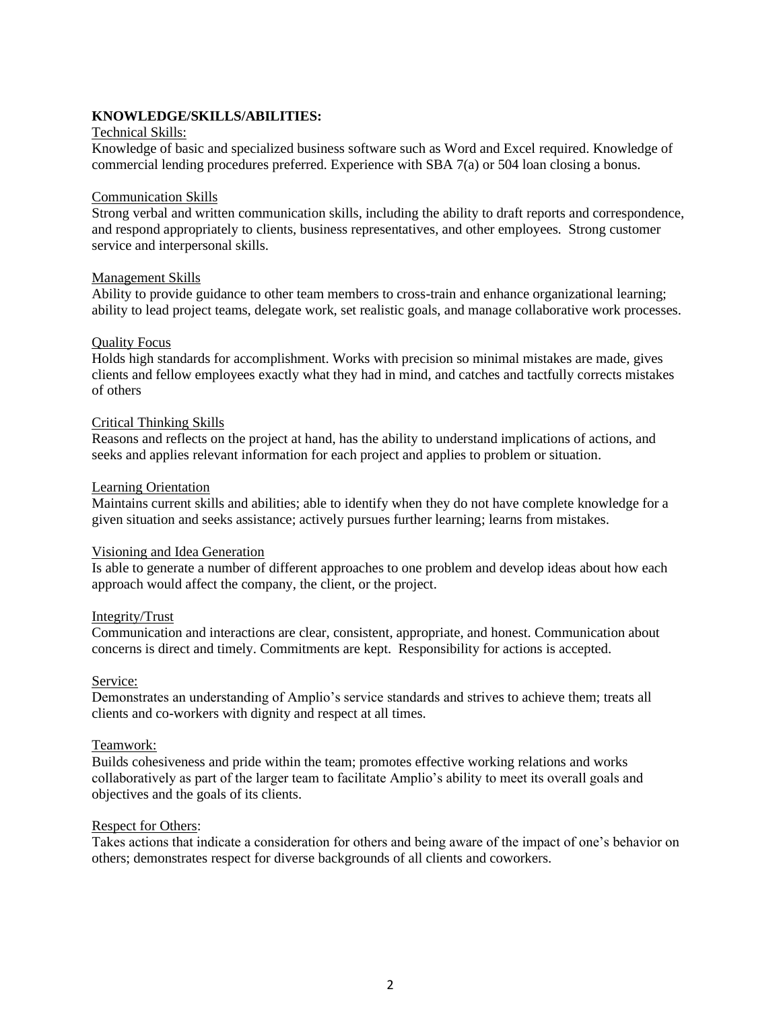# **KNOWLEDGE/SKILLS/ABILITIES:**

# Technical Skills:

Knowledge of basic and specialized business software such as Word and Excel required. Knowledge of commercial lending procedures preferred. Experience with SBA 7(a) or 504 loan closing a bonus.

### Communication Skills

Strong verbal and written communication skills, including the ability to draft reports and correspondence, and respond appropriately to clients, business representatives, and other employees. Strong customer service and interpersonal skills.

### Management Skills

Ability to provide guidance to other team members to cross-train and enhance organizational learning; ability to lead project teams, delegate work, set realistic goals, and manage collaborative work processes.

### Quality Focus

Holds high standards for accomplishment. Works with precision so minimal mistakes are made, gives clients and fellow employees exactly what they had in mind, and catches and tactfully corrects mistakes of others

### Critical Thinking Skills

Reasons and reflects on the project at hand, has the ability to understand implications of actions, and seeks and applies relevant information for each project and applies to problem or situation.

### Learning Orientation

Maintains current skills and abilities; able to identify when they do not have complete knowledge for a given situation and seeks assistance; actively pursues further learning; learns from mistakes.

#### Visioning and Idea Generation

Is able to generate a number of different approaches to one problem and develop ideas about how each approach would affect the company, the client, or the project.

#### Integrity/Trust

Communication and interactions are clear, consistent, appropriate, and honest. Communication about concerns is direct and timely. Commitments are kept. Responsibility for actions is accepted.

#### Service:

Demonstrates an understanding of Amplio's service standards and strives to achieve them; treats all clients and co-workers with dignity and respect at all times.

# Teamwork:

Builds cohesiveness and pride within the team; promotes effective working relations and works collaboratively as part of the larger team to facilitate Amplio's ability to meet its overall goals and objectives and the goals of its clients.

#### Respect for Others:

Takes actions that indicate a consideration for others and being aware of the impact of one's behavior on others; demonstrates respect for diverse backgrounds of all clients and coworkers.